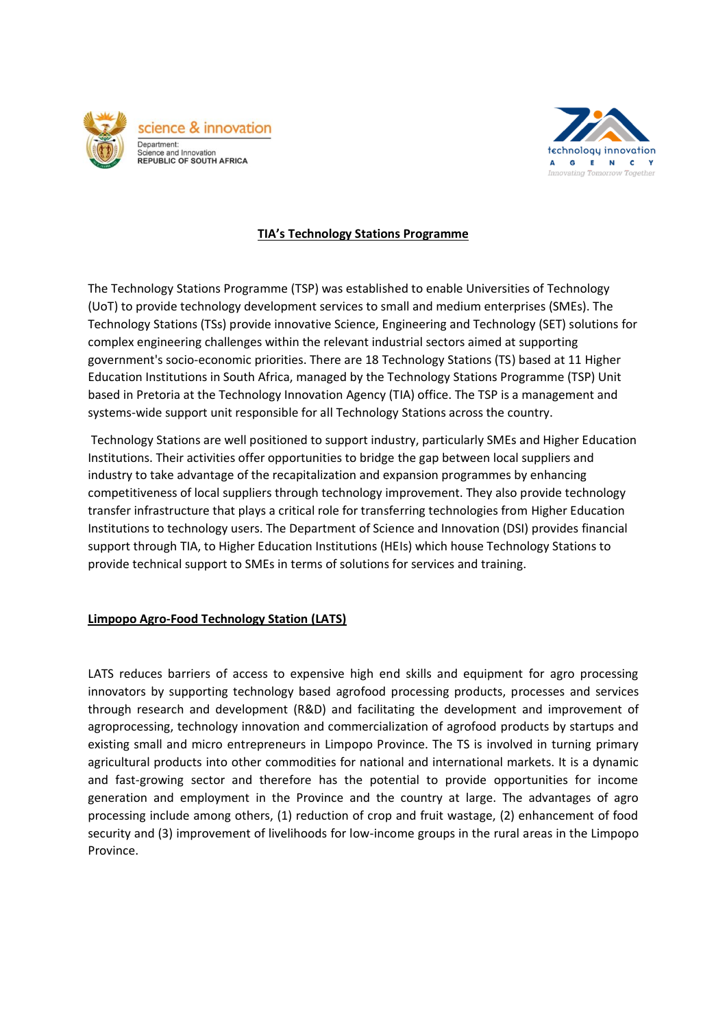



## **TIA's Technology Stations Programme**

The Technology Stations Programme (TSP) was established to enable Universities of Technology (UoT) to provide technology development services to small and medium enterprises (SMEs). The Technology Stations (TSs) provide innovative Science, Engineering and Technology (SET) solutions for complex engineering challenges within the relevant industrial sectors aimed at supporting government's socio-economic priorities. There are 18 Technology Stations (TS) based at 11 Higher Education Institutions in South Africa, managed by the Technology Stations Programme (TSP) Unit based in Pretoria at the Technology Innovation Agency (TIA) office. The TSP is a management and systems-wide support unit responsible for all Technology Stations across the country.

Technology Stations are well positioned to support industry, particularly SMEs and Higher Education Institutions. Their activities offer opportunities to bridge the gap between local suppliers and industry to take advantage of the recapitalization and expansion programmes by enhancing competitiveness of local suppliers through technology improvement. They also provide technology transfer infrastructure that plays a critical role for transferring technologies from Higher Education Institutions to technology users. The Department of Science and Innovation (DSI) provides financial support through TIA, to Higher Education Institutions (HEIs) which house Technology Stations to provide technical support to SMEs in terms of solutions for services and training.

## **Limpopo Agro-Food Technology Station (LATS)**

LATS reduces barriers of access to expensive high end skills and equipment for agro processing innovators by supporting technology based agrofood processing products, processes and services through research and development (R&D) and facilitating the development and improvement of agroprocessing, technology innovation and commercialization of agrofood products by startups and existing small and micro entrepreneurs in Limpopo Province. The TS is involved in turning primary agricultural products into other commodities for national and international markets. It is a dynamic and fast-growing sector and therefore has the potential to provide opportunities for income generation and employment in the Province and the country at large. The advantages of agro processing include among others, (1) reduction of crop and fruit wastage, (2) enhancement of food security and (3) improvement of livelihoods for low-income groups in the rural areas in the Limpopo Province.